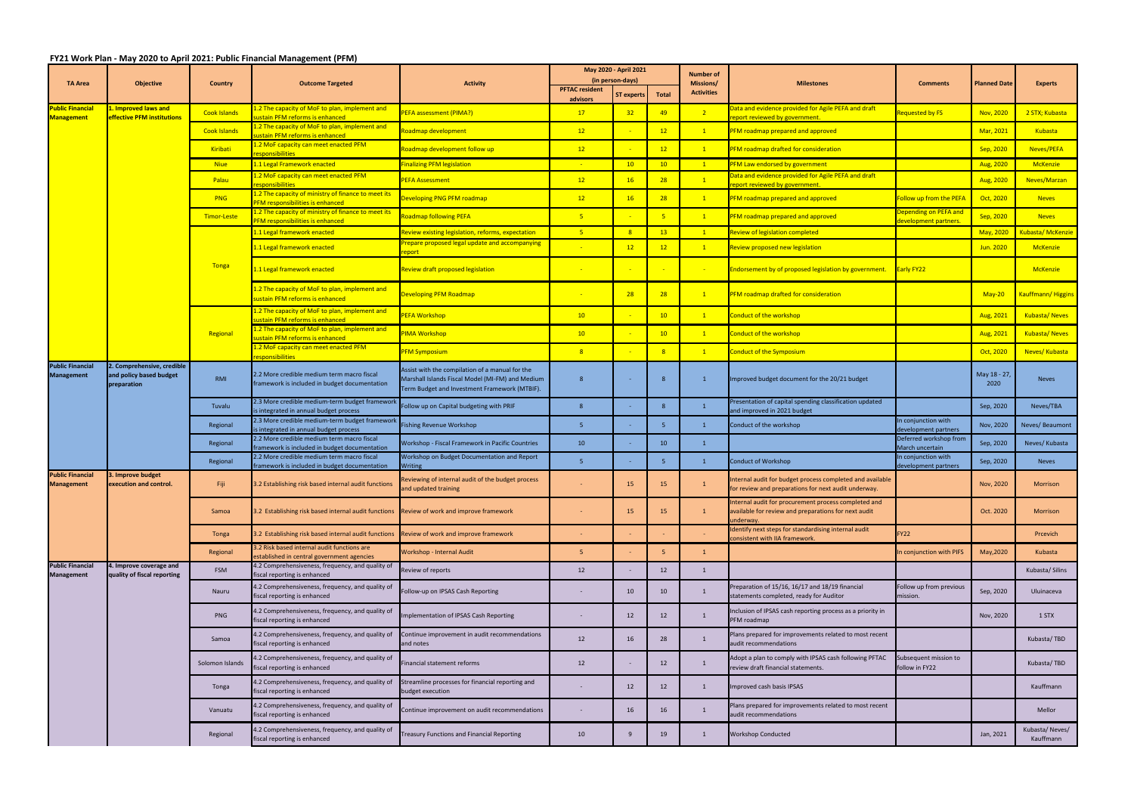## **FY21 Work Plan ‐ May 2020 to April 2021: Public Financial Management (PFM)**

|                                              | <b>Objective</b>                                                     | <b>Country</b>      | <b>Outcome Targeted</b>                                                                                          | <b>Activity</b>                                                                                                                                      | May 2020 - April 2021 |                                |                | <b>Number of</b>               |                                                                                                                 |                                               |                        |                             |
|----------------------------------------------|----------------------------------------------------------------------|---------------------|------------------------------------------------------------------------------------------------------------------|------------------------------------------------------------------------------------------------------------------------------------------------------|-----------------------|--------------------------------|----------------|--------------------------------|-----------------------------------------------------------------------------------------------------------------|-----------------------------------------------|------------------------|-----------------------------|
| <b>TA Area</b>                               |                                                                      |                     |                                                                                                                  |                                                                                                                                                      | <b>PFTAC resident</b> | (in person-days)<br>ST experts | <b>Total</b>   | Missions/<br><b>Activities</b> | <b>Milestones</b>                                                                                               | <b>Comments</b>                               | Planned Date           | <b>Experts</b>              |
| <b>Public Financial</b><br><b>Management</b> | L. Improved laws and<br>effective PFM institutions                   | <b>Cook Islands</b> | 2 The capacity of MoF to plan, implement and<br>ustain PFM reforms is enhanced                                   | <b>PEFA assessment (PIMA?)</b>                                                                                                                       | advisors<br>17        | 32                             | 49             | $\overline{2}$                 | Data and evidence provided for Agile PEFA and draft<br>eport reviewed by government                             | Requested by FS                               | Nov, 2020              | 2 STX; Kubasta              |
|                                              |                                                                      | <b>Cook Islands</b> | L.2 The capacity of MoF to plan, implement and<br>ustain PFM reforms is enhanced                                 | Roadmap development                                                                                                                                  | 12                    |                                | 12             | $\sqrt{1}$                     | PFM roadmap prepared and approved                                                                               |                                               | Mar, 2021              | Kubasta                     |
|                                              |                                                                      | Kiribati            | L.2 MoF capacity can meet enacted PFM<br>esponsibilities                                                         | Roadmap development follow up                                                                                                                        | 12                    |                                | 12             | $\mathbf{1}$                   | PFM roadmap drafted for consideration                                                                           |                                               | <mark>Sep, 2020</mark> | Neves/PEFA                  |
|                                              |                                                                      | <b>Niue</b>         | 1.1 Legal Framework enacted                                                                                      | <b>Finalizing PFM legislation</b>                                                                                                                    |                       | 10 <sub>1</sub>                | 10             | $\mathbf{1}$                   | PFM Law endorsed by government                                                                                  |                                               | Aug, 2020              | <b>McKenzie</b>             |
|                                              |                                                                      | Palau               | 1.2 MoF capacity can meet enacted PFM<br>esponsibilities                                                         | <b>PEFA Assessment</b>                                                                                                                               | 12                    | 16                             | 28             | $\sqrt{1}$                     | Data and evidence provided for Agile PEFA and draft<br>eport reviewed by government.                            |                                               | Aug, 2020              | Neves/Marzan                |
|                                              |                                                                      | PNG                 | 1.2 The capacity of ministry of finance to meet its<br><b>PFM responsibilities is enhanced</b>                   | <b>Developing PNG PFM roadmap</b>                                                                                                                    | 12                    | 16                             | 28             | $\mathbf{1}$                   | PFM roadmap prepared and approved                                                                               | ollow up from the PEFA                        | Oct, 2020              | <b>Neves</b>                |
|                                              |                                                                      | <b>Timor-Leste</b>  | 1.2 The capacity of ministry of finance to meet its<br><b>FM responsibilities is enhanced</b>                    | <b>Roadmap following PEFA</b>                                                                                                                        | 5 <sub>o</sub>        |                                | -5             | $\sqrt{1}$                     | PFM roadmap prepared and approved                                                                               | epending on PEFA and<br>levelopment partners. | Sep, 2020              | <b>Neves</b>                |
|                                              |                                                                      |                     | 1.1 Legal framework enacted                                                                                      | Review existing legislation, reforms, expectation                                                                                                    | 5 <sub>1</sub>        | 8                              | 13             | $\boxed{1}$                    | Review of legislation completed                                                                                 |                                               | May, 2020              | Kubasta/McKenzie            |
|                                              |                                                                      | Tonga               | 1.1 Legal framework enacted                                                                                      | Prepare proposed legal update and accompanying<br>eport                                                                                              |                       | 12                             | 12             | $\mathbf{1}$                   | Review proposed new legislation                                                                                 |                                               | <b>Jun. 2020</b>       | <b>McKenzie</b>             |
|                                              |                                                                      |                     | 1.1 Legal framework enacted                                                                                      | Review draft proposed legislation                                                                                                                    |                       |                                |                |                                | Endorsement by of proposed legislation by government.                                                           | <b>Early FY22</b>                             |                        | <b>McKenzie</b>             |
|                                              |                                                                      |                     | 1.2 The capacity of MoF to plan, implement and<br>ustain PFM reforms is enhanced                                 | <b>Developing PFM Roadmap</b>                                                                                                                        |                       | 28                             | 28             | $\mathbf{1}$                   | PFM roadmap drafted for consideration                                                                           |                                               | $May-20$               | <b>Kauffmann/Higgins</b>    |
|                                              |                                                                      | Regional            | L.2 The capacity of MoF to plan, implement and<br>ustain PFM reforms is enhanced                                 | <b>PEFA Workshop</b>                                                                                                                                 | 10 <sup>°</sup>       |                                | 10             | $\mathbf{1}$                   | Conduct of the workshop                                                                                         |                                               | Aug, 2021              | <b>Kubasta/Neves</b>        |
|                                              |                                                                      |                     | 1.2 The capacity of MoF to plan, implement and<br>istain PFM reforms is enhanced                                 | PIMA Workshop                                                                                                                                        | 10                    |                                | 10             | $\mathbf{1}$                   | <b>Conduct of the workshop</b>                                                                                  |                                               | Aug, 2021              | <b>Kubasta/Neves</b>        |
|                                              |                                                                      |                     | 1.2 MoF capacity can meet enacted PFM<br>esponsibilities                                                         | <mark>PFM Symposium</mark>                                                                                                                           | 8 <sup>°</sup>        |                                | $\overline{8}$ | $\mathbf{1}$                   | <b>Conduct of the Symposium</b>                                                                                 |                                               | Oct, 2020              | Neves/ Kubasta              |
| <b>Public Financial</b><br><b>Management</b> | 2. Comprehensive, credible<br>and policy based budget<br>preparation | RMI                 | 2.2 More credible medium term macro fiscal<br>framework is included in budget documentation                      | Assist with the compilation of a manual for the<br>Marshall Islands Fiscal Model (MI-FM) and Medium<br>Term Budget and Investment Framework (MTBIF). |                       |                                | -8             | $\mathbf{1}$                   | Improved budget document for the 20/21 budget                                                                   |                                               | May 18 - 27<br>2020    | <b>Neves</b>                |
|                                              |                                                                      | Tuvalu              | 2.3 More credible medium-term budget framework<br>is integrated in annual budget process                         | Follow up on Capital budgeting with PRIF                                                                                                             |                       |                                |                |                                | Presentation of capital spending classification updated<br>and improved in 2021 budget                          |                                               | Sep, 2020              | Neves/TBA                   |
|                                              |                                                                      | Regional            | 2.3 More credible medium-term budget frameworl<br>is integrated in annual budget process                         | Fishing Revenue Workshop                                                                                                                             | -5.                   |                                | -5             |                                | Conduct of the workshop                                                                                         | n conjunction with<br>evelopment partners     | Nov, 2020              | Neves/Beaumont              |
|                                              |                                                                      | Regional            | 2.2 More credible medium term macro fiscal<br>framework is included in budget documentation                      | Workshop - Fiscal Framework in Pacific Countries                                                                                                     | 10                    |                                | 10             | $\mathbf{1}$                   |                                                                                                                 | Deferred workshop from<br>March uncertain     | Sep, 2020              | Neves/ Kubasta              |
|                                              |                                                                      | Regional            | 2.2 More credible medium term macro fiscal                                                                       | Workshop on Budget Documentation and Report                                                                                                          | -5                    |                                | -5             | 1                              | <b>Conduct of Workshop</b>                                                                                      | n conjunction with                            | Sep, 2020              | <b>Neves</b>                |
| <b>Public Financial</b><br><b>Management</b> | 3. Improve budget<br>execution and control.                          | Fiji                | framework is included in budget documentation<br>3.2 Establishing risk based internal audit functions            | <b>Writing</b><br>Reviewing of internal audit of the budget process<br>nd updated training                                                           |                       | 15                             | 15             |                                | nternal audit for budget process completed and available<br>or review and preparations for next audit underway. | development partners                          | Nov, 2020              | <b>Morrison</b>             |
|                                              |                                                                      | Samoa               | 3.2 Establishing risk based internal audit functions Review of work and improve framework                        |                                                                                                                                                      |                       | 15                             | 15             | <sup>1</sup>                   | Internal audit for procurement process completed and<br>available for review and preparations for next audit    |                                               | Oct. 2020              | Morrison                    |
|                                              |                                                                      | <b>Tonga</b>        | 3.2 Establishing risk based internal audit functions                                                             | Review of work and improve framework                                                                                                                 |                       |                                |                |                                | underway.<br>Identify next steps for standardising internal audit                                               | <b>FY22</b>                                   |                        | Prcevich                    |
|                                              |                                                                      | Regional            | 3.2 Risk based internal audit functions are                                                                      | Workshop - Internal Audit                                                                                                                            | 5 <sub>1</sub>        |                                |                | $\mathbf{1}$                   | consistent with IIA framework.                                                                                  | In conjunction with PIFS                      | May, 2020              | Kubasta                     |
| <b>Public Financial</b><br><b>Management</b> | 4. Improve coverage and                                              | <b>FSM</b>          | established in central government agencies<br>4.2 Comprehensiveness, frequency, and quality of                   | Review of reports                                                                                                                                    | 12                    |                                | 12             | 1                              |                                                                                                                 |                                               |                        | Kubasta/Silins              |
|                                              | quality of fiscal reporting                                          | Nauru               | fiscal reporting is enhanced<br>4.2 Comprehensiveness, frequency, and quality of<br>fiscal reporting is enhanced | Follow-up on IPSAS Cash Reporting                                                                                                                    |                       | 10                             | 10             | 1                              | Preparation of 15/16, 16/17 and 18/19 financial<br>statements completed, ready for Auditor                      | Follow up from previous<br>mission.           | Sep, 2020              | Uluinaceva                  |
|                                              |                                                                      | PNG                 | 4.2 Comprehensiveness, frequency, and quality of<br>fiscal reporting is enhanced                                 | Implementation of IPSAS Cash Reporting                                                                                                               |                       | 12                             | 12             | -1                             | Inclusion of IPSAS cash reporting process as a priority in<br>PFM roadmap                                       |                                               | Nov, 2020              | 1 STX                       |
|                                              |                                                                      | Samoa               | 4.2 Comprehensiveness, frequency, and quality of<br>fiscal reporting is enhanced                                 | Continue improvement in audit recommendations<br>and notes                                                                                           | 12                    | 16                             | 28             | -1                             | Plans prepared for improvements related to most recent<br>audit recommendations                                 |                                               |                        | Kubasta/TBD                 |
|                                              |                                                                      | Solomon Islands     | 4.2 Comprehensiveness, frequency, and quality of<br>fiscal reporting is enhanced                                 | Financial statement reforms                                                                                                                          | 12                    | $\sim$                         | 12             | $\mathbf{1}$                   | Adopt a plan to comply with IPSAS cash following PFTAC<br>review draft financial statements.                    | Subsequent mission to<br>follow in FY22       |                        | Kubasta/TBD                 |
|                                              |                                                                      | Tonga               | 4.2 Comprehensiveness, frequency, and quality of<br>fiscal reporting is enhanced                                 | Streamline processes for financial reporting and<br>budget execution                                                                                 |                       | 12                             | 12             |                                | Improved cash basis IPSAS                                                                                       |                                               |                        | Kauffmann                   |
|                                              |                                                                      | Vanuatu             | 4.2 Comprehensiveness, frequency, and quality of<br>fiscal reporting is enhanced                                 | Continue improvement on audit recommendations                                                                                                        |                       | 16                             | 16             | -1                             | Plans prepared for improvements related to most recent<br>audit recommendations                                 |                                               |                        | Mellor                      |
|                                              |                                                                      | Regional            | 4.2 Comprehensiveness, frequency, and quality of<br>fiscal reporting is enhanced                                 | <b>Treasury Functions and Financial Reporting</b>                                                                                                    | 10                    | 9                              | 19             | 1                              | <b>Workshop Conducted</b>                                                                                       |                                               | Jan, 2021              | Kubasta/Neves/<br>Kauffmann |